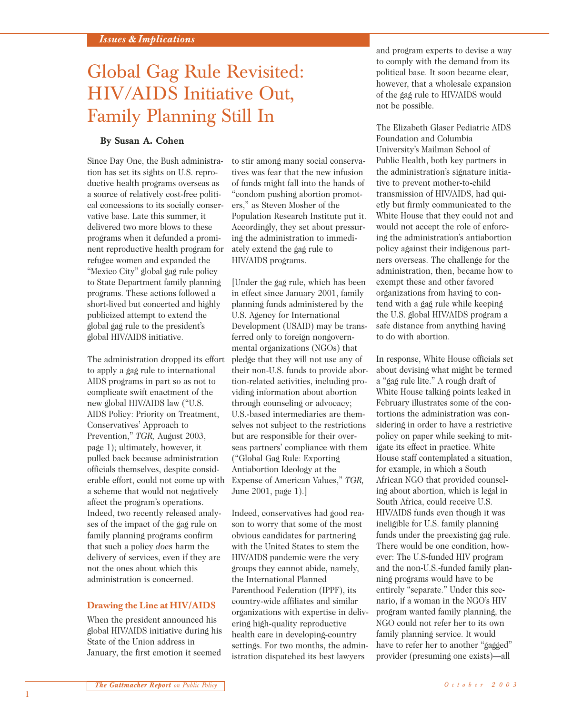# Global Gag Rule Revisited: HIV/AIDS Initiative Out, Family Planning Still In

## **By Susan A. Cohen**

Since Day One, the Bush administration has set its sights on U.S. reproductive health programs overseas as a source of relatively cost-free political concessions to its socially conservative base. Late this summer, it delivered two more blows to these programs when it defunded a prominent reproductive health program for refugee women and expanded the "Mexico City" global gag rule policy to State Department family planning programs. These actions followed a short-lived but concerted and highly publicized attempt to extend the global gag rule to the president's global HIV/AIDS initiative.

The administration dropped its effort to apply a gag rule to international AIDS programs in part so as not to complicate swift enactment of the new global HIV/AIDS law ("U.S. AIDS Policy: Priority on Treatment, Conservatives' Approach to Prevention," *TGR,* August 2003, page 1); ultimately, however, it pulled back because administration officials themselves, despite considerable effort, could not come up with a scheme that would not negatively affect the program's operations. Indeed, two recently released analyses of the impact of the gag rule on family planning programs confirm that such a policy *does* harm the delivery of services, even if they are not the ones about which this administration is concerned.

#### **Drawing the Line at HIV/AIDS**

When the president announced his global HIV/AIDS initiative during his State of the Union address in January, the first emotion it seemed

to stir among many social conservatives was fear that the new infusion of funds might fall into the hands of "condom pushing abortion promoters," as Steven Mosher of the Population Research Institute put it. Accordingly, they set about pressuring the administration to immediately extend the gag rule to HIV/AIDS programs.

[Under the gag rule, which has been in effect since January 2001, family planning funds administered by the U.S. Agency for International Development (USAID) may be transferred only to foreign nongovernmental organizations (NGOs) that pledge that they will not use any of their non-U.S. funds to provide abortion-related activities, including providing information about abortion through counseling or advocacy; U.S.-based intermediaries are themselves not subject to the restrictions but are responsible for their overseas partners' compliance with them ("Global Gag Rule: Exporting Antiabortion Ideology at the Expense of American Values," *TGR,* June 2001, page 1).]

Indeed, conservatives had good reason to worry that some of the most obvious candidates for partnering with the United States to stem the HIV/AIDS pandemic were the very groups they cannot abide, namely, the International Planned Parenthood Federation (IPPF), its country-wide affiliates and similar organizations with expertise in delivering high-quality reproductive health care in developing-country settings. For two months, the administration dispatched its best lawyers

and program experts to devise a way to comply with the demand from its political base. It soon became clear, however, that a wholesale expansion of the gag rule to HIV/AIDS would not be possible.

The Elizabeth Glaser Pediatric AIDS Foundation and Columbia University's Mailman School of Public Health, both key partners in the administration's signature initiative to prevent mother-to-child transmission of HIV/AIDS, had quietly but firmly communicated to the White House that they could not and would not accept the role of enforcing the administration's antiabortion policy against their indigenous partners overseas. The challenge for the administration, then, became how to exempt these and other favored organizations from having to contend with a gag rule while keeping the U.S. global HIV/AIDS program a safe distance from anything having to do with abortion.

In response, White House officials set about devising what might be termed a "gag rule lite." A rough draft of White House talking points leaked in February illustrates some of the contortions the administration was considering in order to have a restrictive policy on paper while seeking to mitigate its effect in practice. White House staff contemplated a situation, for example, in which a South African NGO that provided counseling about abortion, which is legal in South Africa, could receive U.S. HIV/AIDS funds even though it was ineligible for U.S. family planning funds under the preexisting gag rule. There would be one condition, however: The U.S-funded HIV program and the non-U.S.-funded family planning programs would have to be entirely "separate." Under this scenario, if a woman in the NGO's HIV program wanted family planning, the NGO could not refer her to its own family planning service. It would have to refer her to another "gagged" provider (presuming one exists)—all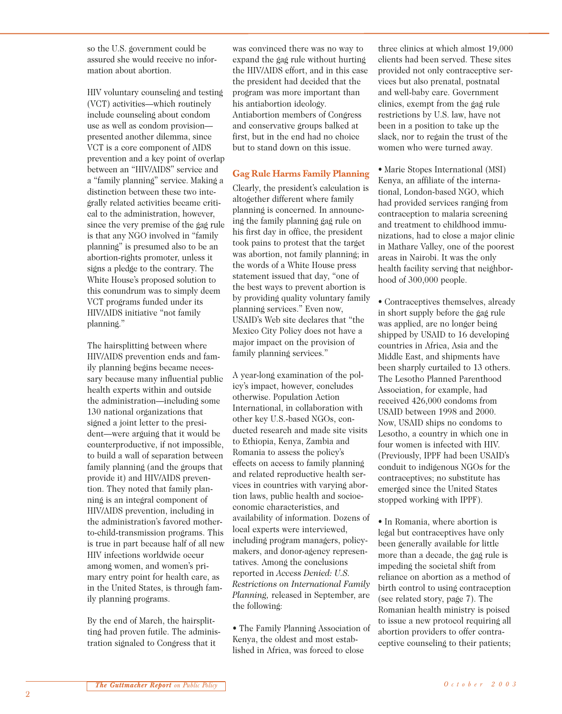so the U.S. government could be assured she would receive no information about abortion.

HIV voluntary counseling and testing (VCT) activities—which routinely include counseling about condom use as well as condom provision presented another dilemma, since VCT is a core component of AIDS prevention and a key point of overlap between an "HIV/AIDS" service and a "family planning" service. Making a distinction between these two integrally related activities became critical to the administration, however, since the very premise of the gag rule is that any NGO involved in "family planning" is presumed also to be an abortion-rights promoter, unless it signs a pledge to the contrary. The White House's proposed solution to this conundrum was to simply deem VCT programs funded under its HIV/AIDS initiative "not family planning."

The hairsplitting between where HIV/AIDS prevention ends and family planning begins became necessary because many influential public health experts within and outside the administration—including some 130 national organizations that signed a joint letter to the president—were arguing that it would be counterproductive, if not impossible, to build a wall of separation between family planning (and the groups that provide it) and HIV/AIDS prevention. They noted that family planning is an integral component of HIV/AIDS prevention, including in the administration's favored motherto-child-transmission programs. This is true in part because half of all new HIV infections worldwide occur among women, and women's primary entry point for health care, as in the United States, is through family planning programs.

By the end of March, the hairsplitting had proven futile. The administration signaled to Congress that it

was convinced there was no way to expand the gag rule without hurting the HIV/AIDS effort, and in this case the president had decided that the program was more important than his antiabortion ideology. Antiabortion members of Congress and conservative groups balked at first, but in the end had no choice but to stand down on this issue.

## **Gag Rule Harms Family Planning**

Clearly, the president's calculation is altogether different where family planning is concerned. In announcing the family planning gag rule on his first day in office, the president took pains to protest that the target was abortion, not family planning; in the words of a White House press statement issued that day, "one of the best ways to prevent abortion is by providing quality voluntary family planning services." Even now, USAID's Web site declares that "the Mexico City Policy does not have a major impact on the provision of family planning services."

A year-long examination of the policy's impact, however, concludes otherwise. Population Action International, in collaboration with other key U.S.-based NGOs, conducted research and made site visits to Ethiopia, Kenya, Zambia and Romania to assess the policy's effects on access to family planning and related reproductive health services in countries with varying abortion laws, public health and socioeconomic characteristics, and availability of information. Dozens of local experts were interviewed, including program managers, policymakers, and donor-agency representatives. Among the conclusions reported in *Access Denied: U.S. Restrictions on International Family Planning,* released in September, are the following:

• The Family Planning Association of Kenya, the oldest and most established in Africa, was forced to close

three clinics at which almost 19,000 clients had been served. These sites provided not only contraceptive services but also prenatal, postnatal and well-baby care. Government clinics, exempt from the gag rule restrictions by U.S. law, have not been in a position to take up the slack, nor to regain the trust of the women who were turned away.

• Marie Stopes International (MSI) Kenya, an affiliate of the international, London-based NGO, which had provided services ranging from contraception to malaria screening and treatment to childhood immunizations, had to close a major clinic in Mathare Valley, one of the poorest areas in Nairobi. It was the only health facility serving that neighborhood of 300,000 people.

• Contraceptives themselves, already in short supply before the gag rule was applied, are no longer being shipped by USAID to 16 developing countries in Africa, Asia and the Middle East, and shipments have been sharply curtailed to 13 others. The Lesotho Planned Parenthood Association, for example, had received 426,000 condoms from USAID between 1998 and 2000. Now, USAID ships no condoms to Lesotho, a country in which one in four women is infected with HIV. (Previously, IPPF had been USAID's conduit to indigenous NGOs for the contraceptives; no substitute has emerged since the United States stopped working with IPPF).

• In Romania, where abortion is legal but contraceptives have only been generally available for little more than a decade, the gag rule is impeding the societal shift from reliance on abortion as a method of birth control to using contraception (see related story, page 7). The Romanian health ministry is poised to issue a new protocol requiring all abortion providers to offer contraceptive counseling to their patients;